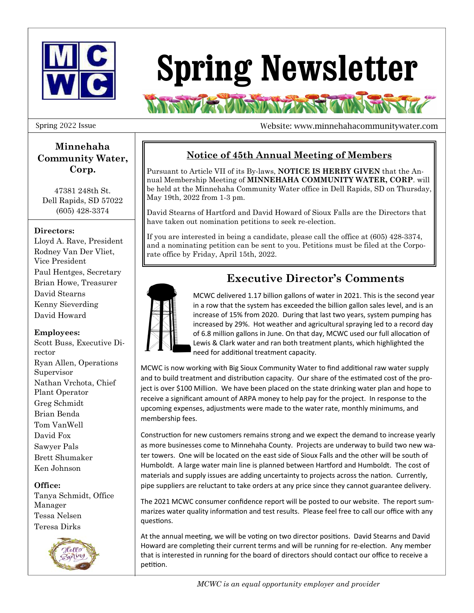

# **Spring Newsletter**

**RAMA ANSWERSER** 

#### Spring 2022 Issue

Website: www.minnehahacommunitywater.com

## **Minnehaha Community Water, Corp.**

47381 248th St. Dell Rapids, SD 57022 (605) 428-3374

### **Directors:**

Lloyd A. Rave, President Rodney Van Der Vliet, Vice President Paul Hentges, Secretary Brian Howe, Treasurer David Stearns Kenny Sieverding David Howard

#### **Employees:**

Scott Buss, Executive Director Ryan Allen, Operations Supervisor Nathan Vrchota, Chief Plant Operator Greg Schmidt Brian Benda Tom VanWell David Fox Sawyer Pals Brett Shumaker Ken Johnson

#### **Office:**

Tanya Schmidt, Office Manager Tessa Nelsen Teresa Dirks



## **Notice of 45th Annual Meeting of Members**

Pursuant to Article VII of its By-laws, **NOTICE IS HERBY GIVEN** that the Annual Membership Meeting of **MINNEHAHA COMMUNITY WATER, CORP**. will be held at the Minnehaha Community Water office in Dell Rapids, SD on Thursday, May 19th, 2022 from 1-3 pm.

David Stearns of Hartford and David Howard of Sioux Falls are the Directors that have taken out nomination petitions to seek re-election.

If you are interested in being a candidate, please call the office at (605) 428-3374, and a nominating petition can be sent to you. Petitions must be filed at the Corporate office by Friday, April 15th, 2022.



# **Executive Director's Comments**

MCWC delivered 1.17 billion gallons of water in 2021. This is the second year in a row that the system has exceeded the billion gallon sales level, and is an increase of 15% from 2020. During that last two years, system pumping has increased by 29%. Hot weather and agricultural spraying led to a record day of 6.8 million gallons in June. On that day, MCWC used our full allocation of Lewis & Clark water and ran both treatment plants, which highlighted the need for additional treatment capacity.

MCWC is now working with Big Sioux Community Water to find additional raw water supply and to build treatment and distribution capacity. Our share of the estimated cost of the project is over \$100 Million. We have been placed on the state drinking water plan and hope to receive a significant amount of ARPA money to help pay for the project. In response to the upcoming expenses, adjustments were made to the water rate, monthly minimums, and membership fees.

Construction for new customers remains strong and we expect the demand to increase yearly as more businesses come to Minnehaha County. Projects are underway to build two new water towers. One will be located on the east side of Sioux Falls and the other will be south of Humboldt. A large water main line is planned between Hartford and Humboldt. The cost of materials and supply issues are adding uncertainty to projects across the nation. Currently, pipe suppliers are reluctant to take orders at any price since they cannot guarantee delivery.

The 2021 MCWC consumer confidence report will be posted to our website. The report summarizes water quality information and test results. Please feel free to call our office with any questions.

At the annual meeting, we will be voting on two director positions. David Stearns and David Howard are completing their current terms and will be running for re-election. Any member that is interested in running for the board of directors should contact our office to receive a petition.